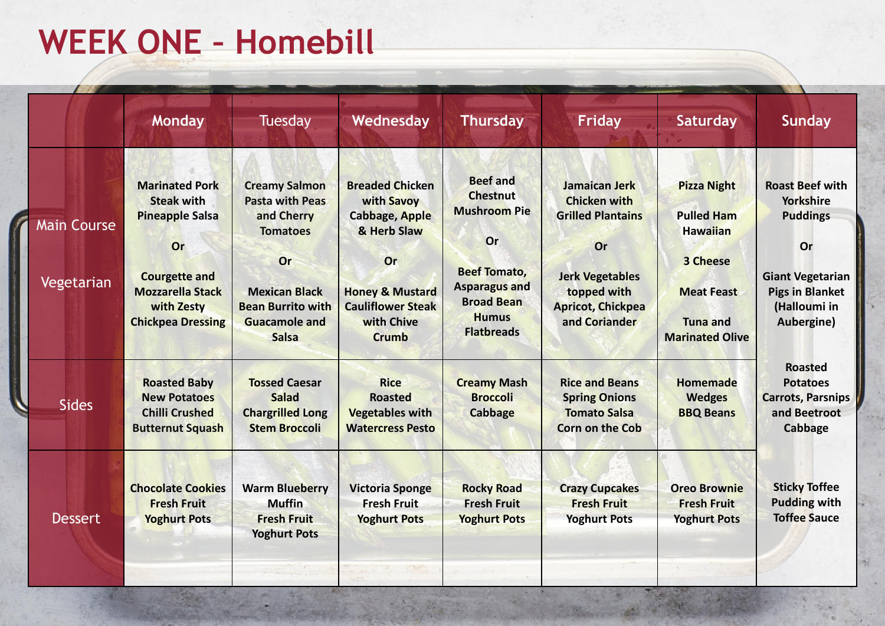## **WEEK ONE – Homebill**

|                                  | <b>Monday</b>                                                                                                                                                           | <b>Tuesday</b>                                                                                                                                                                    | Wednesday                                                                                                                                                                  | <b>Thursday</b>                                                                                                                                                                 | Friday                                                                                                                                                       | <b>Saturday</b>                                                                                                                          | Sunday                                                                                                                                                 |
|----------------------------------|-------------------------------------------------------------------------------------------------------------------------------------------------------------------------|-----------------------------------------------------------------------------------------------------------------------------------------------------------------------------------|----------------------------------------------------------------------------------------------------------------------------------------------------------------------------|---------------------------------------------------------------------------------------------------------------------------------------------------------------------------------|--------------------------------------------------------------------------------------------------------------------------------------------------------------|------------------------------------------------------------------------------------------------------------------------------------------|--------------------------------------------------------------------------------------------------------------------------------------------------------|
| <b>Main Course</b><br>Vegetarian | <b>Marinated Pork</b><br><b>Steak with</b><br><b>Pineapple Salsa</b><br>Or<br><b>Courgette and</b><br><b>Mozzarella Stack</b><br>with Zesty<br><b>Chickpea Dressing</b> | <b>Creamy Salmon</b><br><b>Pasta with Peas</b><br>and Cherry<br><b>Tomatoes</b><br>Or<br><b>Mexican Black</b><br><b>Bean Burrito with</b><br><b>Guacamole and</b><br><b>Salsa</b> | <b>Breaded Chicken</b><br>with Savoy<br><b>Cabbage, Apple</b><br>& Herb Slaw<br>Or<br><b>Honey &amp; Mustard</b><br><b>Cauliflower Steak</b><br>with Chive<br><b>Crumb</b> | <b>Beef and</b><br><b>Chestnut</b><br><b>Mushroom Pie</b><br><b>Or</b><br><b>Beef Tomato,</b><br><b>Asparagus and</b><br><b>Broad Bean</b><br><b>Humus</b><br><b>Flatbreads</b> | Jamaican Jerk<br><b>Chicken with</b><br><b>Grilled Plantains</b><br>Or<br><b>Jerk Vegetables</b><br>topped with<br><b>Apricot, Chickpea</b><br>and Coriander | <b>Pizza Night</b><br><b>Pulled Ham</b><br><b>Hawaiian</b><br>3 Cheese<br><b>Meat Feast</b><br><b>Tuna and</b><br><b>Marinated Olive</b> | <b>Roast Beef with</b><br><b>Yorkshire</b><br><b>Puddings</b><br>Or<br><b>Giant Vegetarian</b><br><b>Pigs in Blanket</b><br>(Halloumi in<br>Aubergine) |
| <b>Sides</b>                     | <b>Roasted Baby</b><br><b>New Potatoes</b><br><b>Chilli Crushed</b><br><b>Butternut Squash</b>                                                                          | <b>Tossed Caesar</b><br><b>Salad</b><br><b>Chargrilled Long</b><br><b>Stem Broccoli</b>                                                                                           | <b>Rice</b><br><b>Roasted</b><br><b>Vegetables with</b><br><b>Watercress Pesto</b>                                                                                         | <b>Creamy Mash</b><br><b>Broccoli</b><br><b>Cabbage</b>                                                                                                                         | <b>Rice and Beans</b><br><b>Spring Onions</b><br><b>Tomato Salsa</b><br><b>Corn on the Cob</b>                                                               | <b>Homemade</b><br><b>Wedges</b><br><b>BBQ Beans</b>                                                                                     | <b>Roasted</b><br><b>Potatoes</b><br><b>Carrots, Parsnips</b><br>and Beetroot<br>Cabbage                                                               |
| <b>Dessert</b>                   | <b>Chocolate Cookies</b><br><b>Fresh Fruit</b><br><b>Yoghurt Pots</b>                                                                                                   | <b>Warm Blueberry</b><br><b>Muffin</b><br><b>Fresh Fruit</b><br><b>Yoghurt Pots</b>                                                                                               | <b>Victoria Sponge</b><br><b>Fresh Fruit</b><br><b>Yoghurt Pots</b>                                                                                                        | <b>Rocky Road</b><br><b>Fresh Fruit</b><br><b>Yoghurt Pots</b>                                                                                                                  | <b>Crazy Cupcakes</b><br><b>Fresh Fruit</b><br><b>Yoghurt Pots</b>                                                                                           | <b>Oreo Brownie</b><br><b>Fresh Fruit</b><br><b>Yoghurt Pots</b>                                                                         | <b>Sticky Toffee</b><br><b>Pudding with</b><br><b>Toffee Sauce</b>                                                                                     |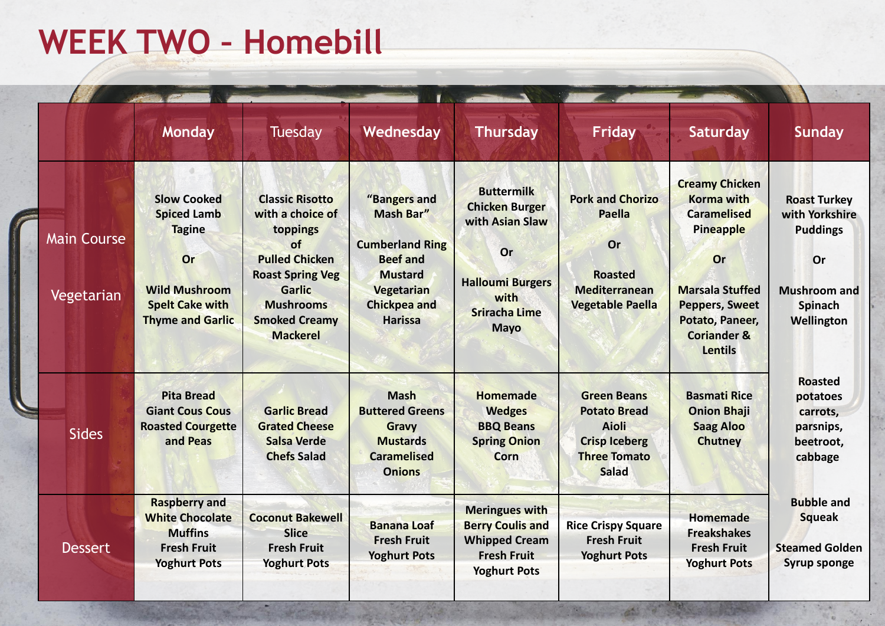## **WEEK TWO – Homebill**

|                                  | <b>Monday</b>                                                                                                                                | Tuesday                                                                                                                                                                                          | Wednesday                                                                                                                                                     | <b>Thursday</b>                                                                                                                               | Friday                                                                                                              | Saturday                                                                                                                                                                                                     | Sunday                                                                                                         |  |
|----------------------------------|----------------------------------------------------------------------------------------------------------------------------------------------|--------------------------------------------------------------------------------------------------------------------------------------------------------------------------------------------------|---------------------------------------------------------------------------------------------------------------------------------------------------------------|-----------------------------------------------------------------------------------------------------------------------------------------------|---------------------------------------------------------------------------------------------------------------------|--------------------------------------------------------------------------------------------------------------------------------------------------------------------------------------------------------------|----------------------------------------------------------------------------------------------------------------|--|
| <b>Main Course</b><br>Vegetarian | <b>Slow Cooked</b><br><b>Spiced Lamb</b><br><b>Tagine</b><br>Or<br><b>Wild Mushroom</b><br><b>Spelt Cake with</b><br><b>Thyme and Garlic</b> | <b>Classic Risotto</b><br>with a choice of<br>toppings<br>of<br><b>Pulled Chicken</b><br><b>Roast Spring Veg</b><br><b>Garlic</b><br><b>Mushrooms</b><br><b>Smoked Creamy</b><br><b>Mackerel</b> | "Bangers and<br><b>Mash Bar"</b><br><b>Cumberland Ring</b><br><b>Beef and</b><br><b>Mustard</b><br><b>Vegetarian</b><br><b>Chickpea and</b><br><b>Harissa</b> | <b>Buttermilk</b><br><b>Chicken Burger</b><br>with Asian Slaw<br>Or<br><b>Halloumi Burgers</b><br>with<br><b>Sriracha Lime</b><br><b>Mayo</b> | <b>Pork and Chorizo</b><br><b>Paella</b><br>Or<br><b>Roasted</b><br><b>Mediterranean</b><br><b>Vegetable Paella</b> | <b>Creamy Chicken</b><br><b>Korma with</b><br><b>Caramelised</b><br><b>Pineapple</b><br>Or<br><b>Marsala Stuffed</b><br><b>Peppers, Sweet</b><br>Potato, Paneer,<br><b>Coriander &amp;</b><br><b>Lentils</b> | <b>Roast Turkey</b><br>with Yorkshire<br><b>Puddings</b><br>Or<br><b>Mushroom and</b><br>Spinach<br>Wellington |  |
| <b>Sides</b>                     | <b>Pita Bread</b><br><b>Giant Cous Cous</b><br><b>Roasted Courgette</b><br>and Peas                                                          | <b>Garlic Bread</b><br><b>Grated Cheese</b><br><b>Salsa Verde</b><br><b>Chefs Salad</b>                                                                                                          | <b>Mash</b><br><b>Buttered Greens</b><br><b>Gravy</b><br><b>Mustards</b><br><b>Caramelised</b><br><b>Onions</b>                                               | <b>Homemade</b><br><b>Wedges</b><br><b>BBQ Beans</b><br><b>Spring Onion</b><br><b>Corn</b>                                                    | <b>Green Beans</b><br><b>Potato Bread</b><br><b>Aioli</b><br><b>Crisp Iceberg</b><br><b>Three Tomato</b><br>Salad   | <b>Basmati Rice</b><br><b>Onion Bhaji</b><br><b>Saag Aloo</b><br><b>Chutney</b>                                                                                                                              | <b>Roasted</b><br>potatoes<br>carrots,<br>parsnips,<br>beetroot,<br>cabbage                                    |  |
| <b>Dessert</b>                   | <b>Raspberry and</b><br><b>White Chocolate</b><br><b>Muffins</b><br><b>Fresh Fruit</b><br><b>Yoghurt Pots</b>                                | <b>Coconut Bakewell</b><br><b>Slice</b><br><b>Fresh Fruit</b><br><b>Yoghurt Pots</b>                                                                                                             | <b>Banana Loaf</b><br><b>Fresh Fruit</b><br><b>Yoghurt Pots</b>                                                                                               | <b>Meringues with</b><br><b>Berry Coulis and</b><br><b>Whipped Cream</b><br><b>Fresh Fruit</b><br><b>Yoghurt Pots</b>                         | <b>Rice Crispy Square</b><br><b>Fresh Fruit</b><br><b>Yoghurt Pots</b>                                              | <b>Homemade</b><br><b>Freakshakes</b><br><b>Fresh Fruit</b><br><b>Yoghurt Pots</b>                                                                                                                           | <b>Bubble and</b><br><b>Squeak</b><br><b>Steamed Golden</b><br><b>Syrup sponge</b>                             |  |